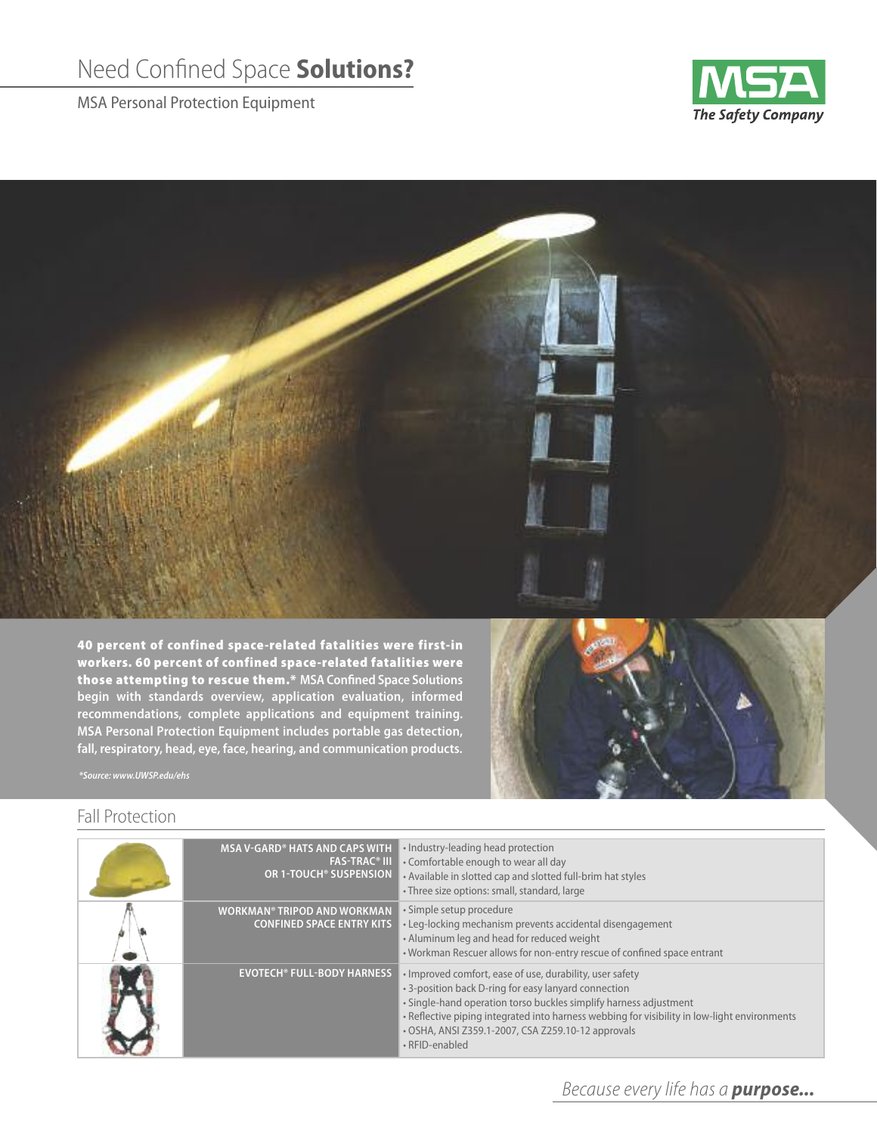## Need Confined Space **Solutions?**

MSA Personal Protection Equipment





**40 percent of confined space-related fatalities were first-in workers. 60 percent of confined space-related fatalities were those attempting to rescue them.\* MSA Confined Space Solutions begin with standards overview, application evaluation, informed recommendations, complete applications and equipment training. MSA Personal Protection Equipment includes portable gas detection, fall, respiratory, head, eye, face, hearing, and communication products.**



*\*Source: www.UWSP.edu/ehs*

## Fall Protection

| <b>MSA V-GARD® HATS AND CAPS WITH</b><br><b>FAS-TRAC® III</b><br>OR 1-TOUCH® SUSPENSION | • Industry-leading head protection<br>. Comfortable enough to wear all day<br>• Available in slotted cap and slotted full-brim hat styles<br>• Three size options: small, standard, large                                                                                                                                                                     |
|-----------------------------------------------------------------------------------------|---------------------------------------------------------------------------------------------------------------------------------------------------------------------------------------------------------------------------------------------------------------------------------------------------------------------------------------------------------------|
| <b>WORKMAN® TRIPOD AND WORKMAN</b><br><b>CONFINED SPACE ENTRY KITS</b>                  | · Simple setup procedure<br>• Leg-locking mechanism prevents accidental disengagement<br>• Aluminum leg and head for reduced weight<br>. Workman Rescuer allows for non-entry rescue of confined space entrant                                                                                                                                                |
| <b>EVOTECH® FULL-BODY HARNESS</b>                                                       | • Improved comfort, ease of use, durability, user safety<br>• 3-position back D-ring for easy lanyard connection<br>• Single-hand operation torso buckles simplify harness adjustment<br>. Reflective piping integrated into harness webbing for visibility in low-light environments<br>• OSHA, ANSI Z359.1-2007, CSA Z259.10-12 approvals<br>• RFID-enabled |